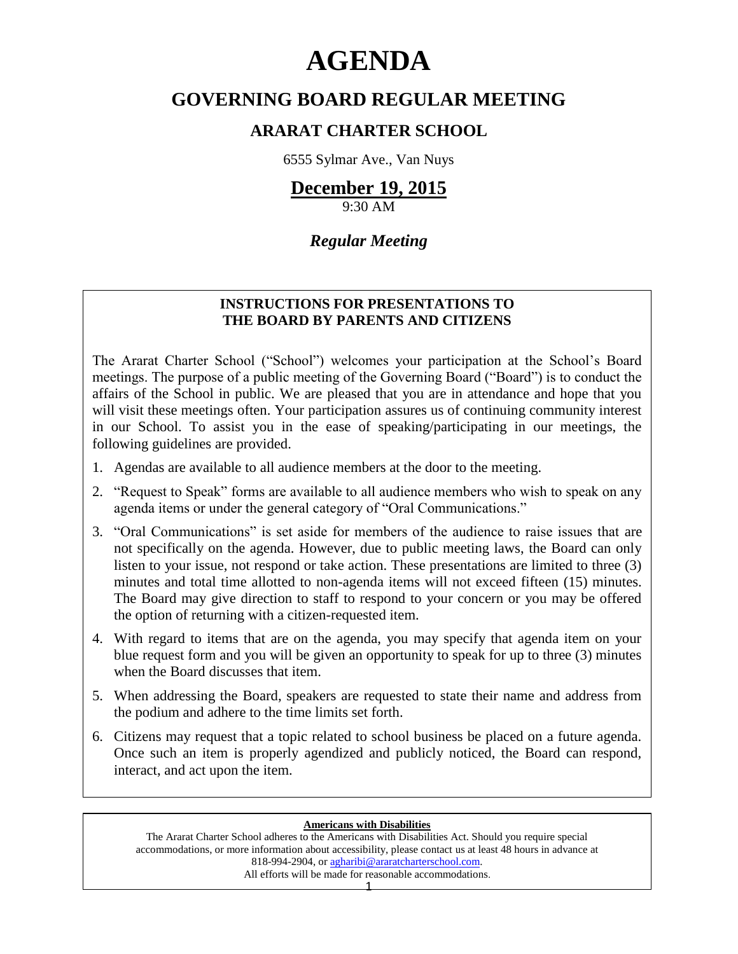# **AGENDA**

# **GOVERNING BOARD REGULAR MEETING**

## **ARARAT CHARTER SCHOOL**

6555 Sylmar Ave., Van Nuys

## **December 19, 2015**

9:30 AM

## *Regular Meeting*

### **INSTRUCTIONS FOR PRESENTATIONS TO THE BOARD BY PARENTS AND CITIZENS**

The Ararat Charter School ("School") welcomes your participation at the School's Board meetings. The purpose of a public meeting of the Governing Board ("Board") is to conduct the affairs of the School in public. We are pleased that you are in attendance and hope that you will visit these meetings often. Your participation assures us of continuing community interest in our School. To assist you in the ease of speaking/participating in our meetings, the following guidelines are provided.

- 1. Agendas are available to all audience members at the door to the meeting.
- 2. "Request to Speak" forms are available to all audience members who wish to speak on any agenda items or under the general category of "Oral Communications."
- 3. "Oral Communications" is set aside for members of the audience to raise issues that are not specifically on the agenda. However, due to public meeting laws, the Board can only listen to your issue, not respond or take action. These presentations are limited to three (3) minutes and total time allotted to non-agenda items will not exceed fifteen (15) minutes. The Board may give direction to staff to respond to your concern or you may be offered the option of returning with a citizen-requested item.
- 4. With regard to items that are on the agenda, you may specify that agenda item on your blue request form and you will be given an opportunity to speak for up to three (3) minutes when the Board discusses that item.
- 5. When addressing the Board, speakers are requested to state their name and address from the podium and adhere to the time limits set forth.
- 6. Citizens may request that a topic related to school business be placed on a future agenda. Once such an item is properly agendized and publicly noticed, the Board can respond, interact, and act upon the item.

#### **Americans with Disabilities**

The Ararat Charter School adheres to the Americans with Disabilities Act. Should you require special accommodations, or more information about accessibility, please contact us at least 48 hours in advance at 818-994-2904, or [agharibi@araratcharterschool.com.](mailto:agharibi@araratcharterschool.com)  All efforts will be made for reasonable accommodations.

1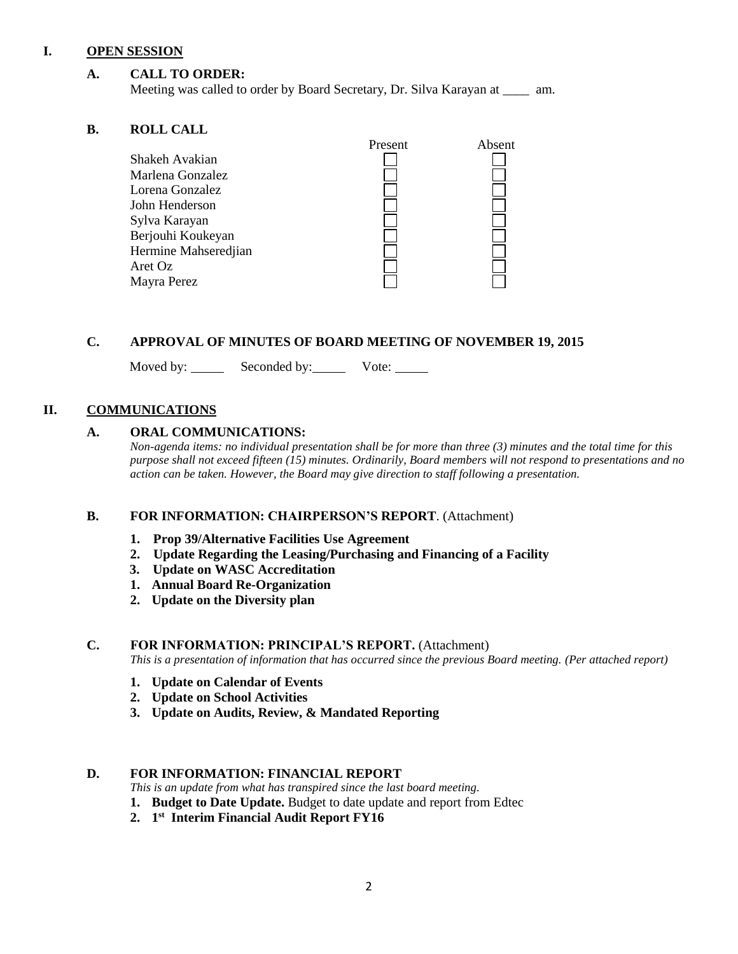#### **I. OPEN SESSION**

#### **A. CALL TO ORDER:**

Meeting was called to order by Board Secretary, Dr. Silva Karayan at \_\_\_\_ am.

#### **B. ROLL CALL**

|                      | Present | Absent |
|----------------------|---------|--------|
| Shakeh Avakian       |         |        |
| Marlena Gonzalez     |         |        |
| Lorena Gonzalez      |         |        |
| John Henderson       |         |        |
| Sylva Karayan        |         |        |
| Berjouhi Koukeyan    |         |        |
| Hermine Mahseredjian |         |        |
| Aret Oz              |         |        |
| Mayra Perez          |         |        |
|                      |         |        |

#### **C. APPROVAL OF MINUTES OF BOARD MEETING OF NOVEMBER 19, 2015**

Moved by: Seconded by: Vote:

#### **II. COMMUNICATIONS**

#### **A. ORAL COMMUNICATIONS:**

*Non-agenda items: no individual presentation shall be for more than three (3) minutes and the total time for this purpose shall not exceed fifteen (15) minutes. Ordinarily, Board members will not respond to presentations and no action can be taken. However, the Board may give direction to staff following a presentation.*

#### **B. FOR INFORMATION: CHAIRPERSON'S REPORT**. (Attachment)

- **1. Prop 39/Alternative Facilities Use Agreement**
- **2. Update Regarding the Leasing/Purchasing and Financing of a Facility**
- **3. Update on WASC Accreditation**
- **1. Annual Board Re-Organization**
- **2. Update on the Diversity plan**

#### **C. FOR INFORMATION: PRINCIPAL'S REPORT.** (Attachment)

*This is a presentation of information that has occurred since the previous Board meeting. (Per attached report)*

- **1. Update on Calendar of Events**
- **2. Update on School Activities**
- **3. Update on Audits, Review, & Mandated Reporting**

#### **D. FOR INFORMATION: FINANCIAL REPORT**

*This is an update from what has transpired since the last board meeting.*

- **1. Budget to Date Update.** Budget to date update and report from Edtec
- **2. 1 st Interim Financial Audit Report FY16**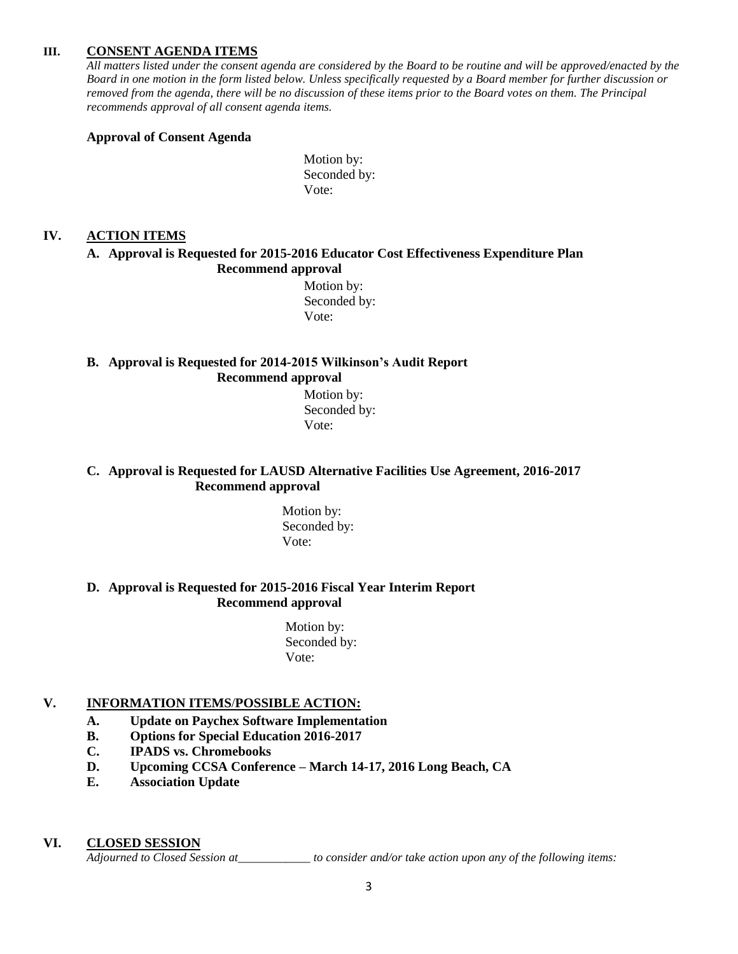#### **III. CONSENT AGENDA ITEMS**

*All matters listed under the consent agenda are considered by the Board to be routine and will be approved/enacted by the Board in one motion in the form listed below. Unless specifically requested by a Board member for further discussion or removed from the agenda, there will be no discussion of these items prior to the Board votes on them. The Principal recommends approval of all consent agenda items.*

#### **Approval of Consent Agenda**

Motion by: Seconded by: Vote:

#### **IV. ACTION ITEMS**

#### **A. Approval is Requested for 2015-2016 Educator Cost Effectiveness Expenditure Plan Recommend approval**

 Motion by: Seconded by: Vote:

#### **B. Approval is Requested for 2014-2015 Wilkinson's Audit Report Recommend approval**

 Motion by: Seconded by: Vote:

#### **C. Approval is Requested for LAUSD Alternative Facilities Use Agreement, 2016-2017 Recommend approval**

 Motion by: Seconded by: Vote:

#### **D. Approval is Requested for 2015-2016 Fiscal Year Interim Report Recommend approval**

 Motion by: Seconded by: Vote:

#### **V. INFORMATION ITEMS**/**POSSIBLE ACTION:**

#### **A. Update on Paychex Software Implementation**

- **B. Options for Special Education 2016-2017**
- **C. IPADS vs. Chromebooks**
- **D. Upcoming CCSA Conference – March 14-17, 2016 Long Beach, CA**
- **E. Association Update**

#### **VI. CLOSED SESSION**

*Adjourned to Closed Session at\_\_\_\_\_\_\_\_\_\_\_\_ to consider and/or take action upon any of the following items:*